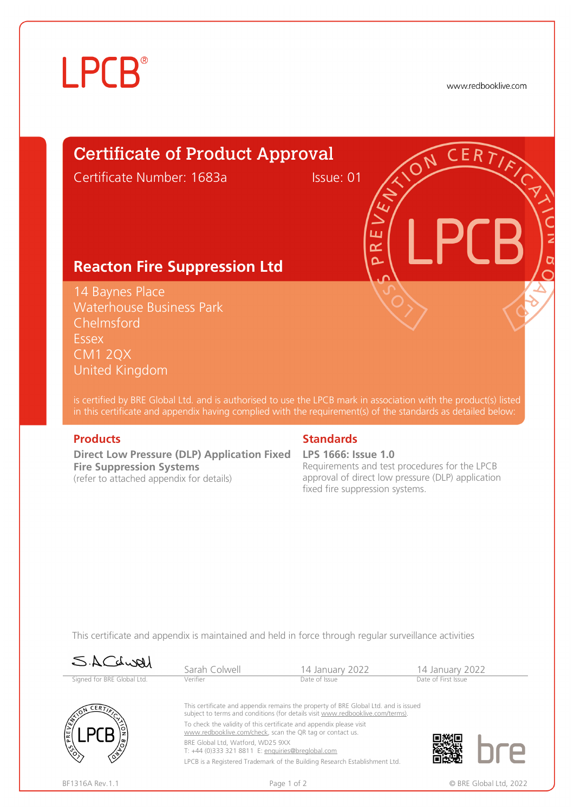# **LPCB**®

www.redbooklive.com

# Certificate of Product Approval

Certificate Number: 1683a Issue: 01

ய œ  $\overline{\mathbf{C}}$ 

### **Reacton Fire Suppression Ltd**

14 Baynes Place Waterhouse Business Park Chelmsford Essex CM1 2QX United Kingdom

is certified by BRE Global Ltd. and is authorised to use the LPCB mark in association with the product(s) listed in this certificate and appendix having complied with the requirement(s) of the standards as detailed below:

**Direct Low Pressure (DLP) Application Fixed LPS 1666: Issue 1.0 Fire Suppression Systems**  (refer to attached appendix for details)

### **Products Standards**

Requirements and test procedures for the LPCB approval of direct low pressure (DLP) application fixed fire suppression systems.

This certificate and appendix is maintained and held in force through regular surveillance activities

| SACLURI                    | Sarah Colwell                                                                                                                                                         | 14 January 2022                                                            | 14 January 2022        |  |  |  |  |
|----------------------------|-----------------------------------------------------------------------------------------------------------------------------------------------------------------------|----------------------------------------------------------------------------|------------------------|--|--|--|--|
| Signed for BRE Global Ltd. | Verifier                                                                                                                                                              | Date of First Issue<br>Date of Issue                                       |                        |  |  |  |  |
| <b>CERT</b>                | This certificate and appendix remains the property of BRE Global Ltd. and is issued<br>subject to terms and conditions (for details visit www.redbooklive.com/terms). |                                                                            |                        |  |  |  |  |
| <b>PRE</b>                 | To check the validity of this certificate and appendix please visit<br>www.redbooklive.com/check, scan the QR tag or contact us.                                      |                                                                            |                        |  |  |  |  |
|                            | BRE Global Ltd, Watford, WD25 9XX<br>T: +44 (0)333 321 8811 E: enquiries@breglobal.com                                                                                |                                                                            |                        |  |  |  |  |
|                            |                                                                                                                                                                       | LPCB is a Registered Trademark of the Building Research Establishment Ltd. |                        |  |  |  |  |
| BF1316A Rev. 1.1           | Page 1 of 2                                                                                                                                                           |                                                                            | © BRE Global Ltd, 2022 |  |  |  |  |